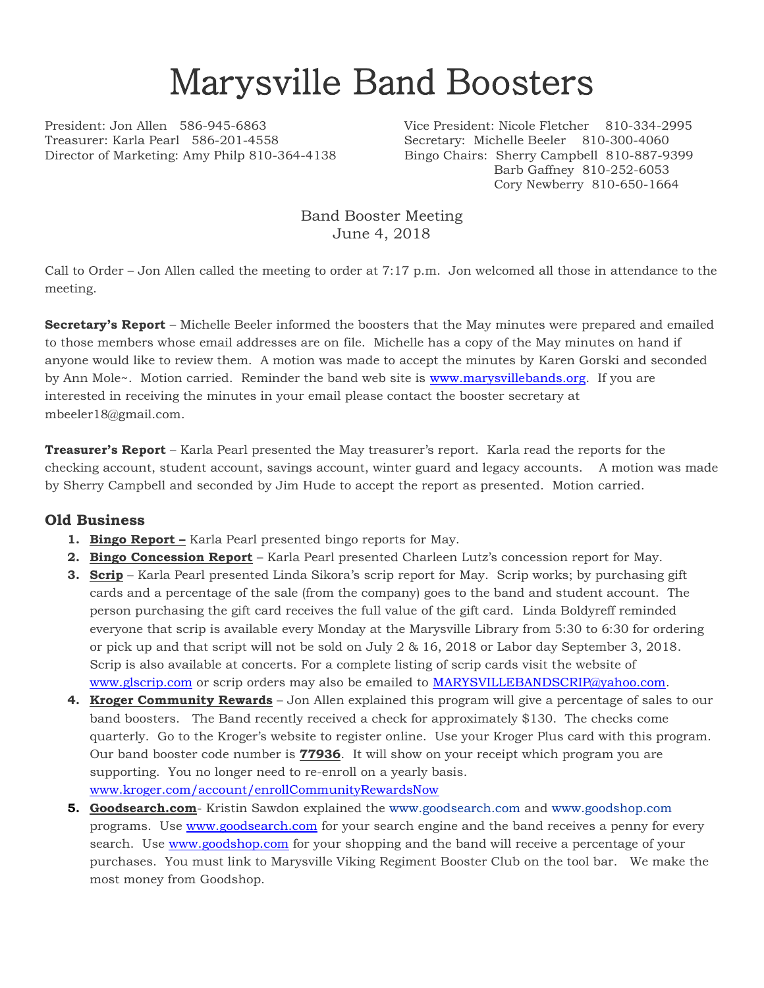## Marysville Band Boosters

Treasurer: Karla Pearl 586-201-4558 Secretary: Michelle Beeler 810-300-4060 Director of Marketing: Amy Philp 810-364-4138 Bingo Chairs: Sherry Campbell 810-887-9399

President: Jon Allen 586-945-6863 Vice President: Nicole Fletcher 810-334-2995 Barb Gaffney 810-252-6053 Cory Newberry 810-650-1664

> Band Booster Meeting June 4, 2018

Call to Order – Jon Allen called the meeting to order at 7:17 p.m. Jon welcomed all those in attendance to the meeting.

**Secretary's Report** – Michelle Beeler informed the boosters that the May minutes were prepared and emailed to those members whose email addresses are on file. Michelle has a copy of the May minutes on hand if anyone would like to review them. A motion was made to accept the minutes by Karen Gorski and seconded by Ann Mole~. Motion carried. Reminder the band web site is [www.marysvillebands.org.](http://www.marysvillebands.org/) If you are interested in receiving the minutes in your email please contact the booster secretary at mbeeler18@gmail.com.

**Treasurer's Report** – Karla Pearl presented the May treasurer's report. Karla read the reports for the checking account, student account, savings account, winter guard and legacy accounts. A motion was made by Sherry Campbell and seconded by Jim Hude to accept the report as presented. Motion carried.

## **Old Business**

- **1. Bingo Report –** Karla Pearl presented bingo reports for May.
- **2. Bingo Concession Report** Karla Pearl presented Charleen Lutz's concession report for May.
- **3. Scrip** Karla Pearl presented Linda Sikora's scrip report for May. Scrip works; by purchasing gift cards and a percentage of the sale (from the company) goes to the band and student account. The person purchasing the gift card receives the full value of the gift card. Linda Boldyreff reminded everyone that scrip is available every Monday at the Marysville Library from 5:30 to 6:30 for ordering or pick up and that script will not be sold on July 2 & 16, 2018 or Labor day September 3, 2018. Scrip is also available at concerts. For a complete listing of scrip cards visit the website of [www.glscrip.com](http://www.glscrip.com/) or scrip orders may also be emailed to [MARYSVILLEBANDSCRIP@yahoo.com.](mailto:MARYSVILLEBANDSCRIP@yahoo.com)
- **4. Kroger Community Rewards** Jon Allen explained this program will give a percentage of sales to our band boosters. The Band recently received a check for approximately \$130. The checks come quarterly. Go to the Kroger's website to register online. Use your Kroger Plus card with this program. Our band booster code number is **77936**. It will show on your receipt which program you are supporting. You no longer need to re-enroll on a yearly basis. [www.kroger.com/account/enrollCommunityRewardsNow](http://www.kroger.com/account/enrollCommunityRewardsNow)
- **5. Goodsearch.com** Kristin Sawdon explained the [www.goodsearch.com](http://www.goodsearch.com/) and [www.goodshop.com](http://www.goodshop.com/) programs. Use [www.goodsearch.com](http://www.goodsearch.com/) for your search engine and the band receives a penny for every search. Use [www.goodshop.com](http://www.goodshop.com/) for your shopping and the band will receive a percentage of your purchases. You must link to Marysville Viking Regiment Booster Club on the tool bar. We make the most money from Goodshop.